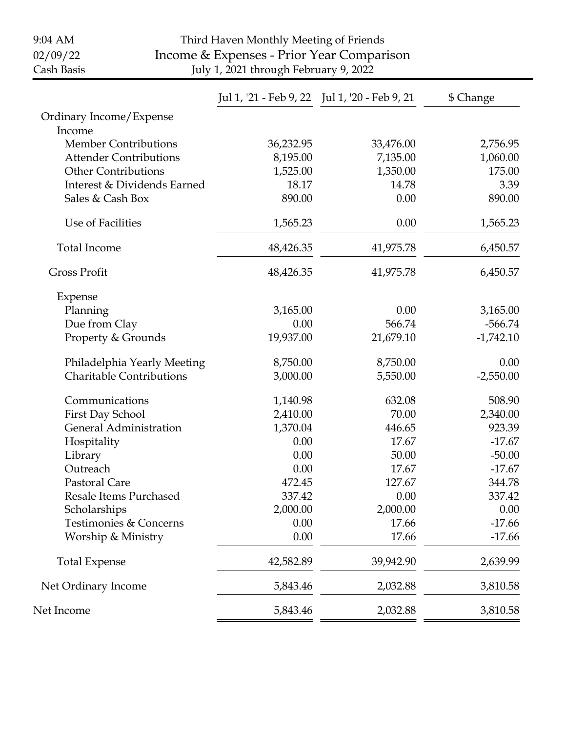| 9:04 AM<br>02/09/22<br>Cash Basis | Third Haven Monthly Meeting of Friends<br>Income & Expenses - Prior Year Comparison<br>July 1, 2021 through February 9, 2022 |                                               |             |
|-----------------------------------|------------------------------------------------------------------------------------------------------------------------------|-----------------------------------------------|-------------|
|                                   |                                                                                                                              | Jul 1, '21 - Feb 9, 22 Jul 1, '20 - Feb 9, 21 | \$ Change   |
| Ordinary Income/Expense<br>Income |                                                                                                                              |                                               |             |
| <b>Member Contributions</b>       | 36,232.95                                                                                                                    | 33,476.00                                     | 2,756.95    |
| <b>Attender Contributions</b>     | 8,195.00                                                                                                                     | 7,135.00                                      | 1,060.00    |
| <b>Other Contributions</b>        | 1,525.00                                                                                                                     | 1,350.00                                      | 175.00      |
| Interest & Dividends Earned       | 18.17                                                                                                                        | 14.78                                         | 3.39        |
| Sales & Cash Box                  | 890.00                                                                                                                       | 0.00                                          | 890.00      |
| Use of Facilities                 | 1,565.23                                                                                                                     | 0.00                                          | 1,565.23    |
| <b>Total Income</b>               | 48,426.35                                                                                                                    | 41,975.78                                     | 6,450.57    |
| <b>Gross Profit</b>               | 48,426.35                                                                                                                    | 41,975.78                                     | 6,450.57    |
| Expense                           |                                                                                                                              |                                               |             |
| Planning                          | 3,165.00                                                                                                                     | 0.00                                          | 3,165.00    |
| Due from Clay                     | 0.00                                                                                                                         | 566.74                                        | $-566.74$   |
| Property & Grounds                | 19,937.00                                                                                                                    | 21,679.10                                     | $-1,742.10$ |
| Philadelphia Yearly Meeting       | 8,750.00                                                                                                                     | 8,750.00                                      | 0.00        |
| <b>Charitable Contributions</b>   | 3,000.00                                                                                                                     | 5,550.00                                      | $-2,550.00$ |
| Communications                    | 1,140.98                                                                                                                     | 632.08                                        | 508.90      |
| First Day School                  | 2,410.00                                                                                                                     | 70.00                                         | 2,340.00    |
| <b>General Administration</b>     | 1,370.04                                                                                                                     | 446.65                                        | 923.39      |
| Hospitality                       | 0.00                                                                                                                         | 17.67                                         | $-17.67$    |
| Library                           | 0.00                                                                                                                         | 50.00                                         | $-50.00$    |
| Outreach                          | 0.00                                                                                                                         | 17.67                                         | $-17.67$    |
| Pastoral Care                     | 472.45                                                                                                                       | 127.67                                        | 344.78      |
| <b>Resale Items Purchased</b>     | 337.42                                                                                                                       | 0.00                                          | 337.42      |
| Scholarships                      | 2,000.00                                                                                                                     | 2,000.00                                      | 0.00        |
| Testimonies & Concerns            | 0.00                                                                                                                         | 17.66                                         | $-17.66$    |
| Worship & Ministry                | 0.00                                                                                                                         | 17.66                                         | $-17.66$    |
| <b>Total Expense</b>              | 42,582.89                                                                                                                    | 39,942.90                                     | 2,639.99    |
| Net Ordinary Income               | 5,843.46                                                                                                                     | 2,032.88                                      | 3,810.58    |
| Net Income                        | 5,843.46                                                                                                                     | 2,032.88                                      | 3,810.58    |